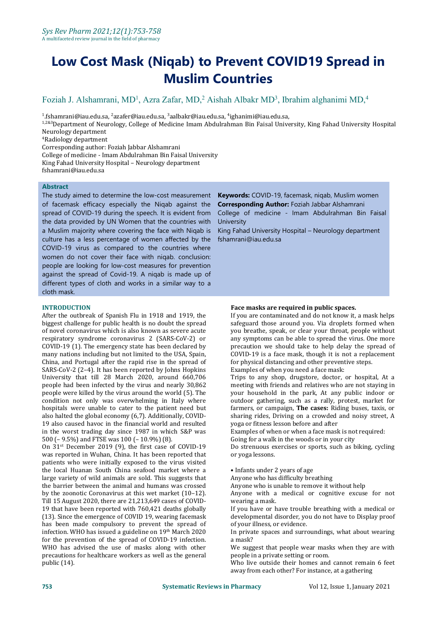# **Low Cost Mask (Niqab) to Prevent COVID19 Spread in Muslim Countries**

## Foziah J. Alshamrani, MD<sup>1</sup>, Azra Zafar, MD,<sup>2</sup> Aishah Albakr MD<sup>3</sup>, Ibrahim alghanimi MD,<sup>4</sup>

<sup>1</sup>.fshamrani@iau.edu.sa, <sup>2</sup>azafer@iau.edu.sa, <sup>3</sup>aalbakr@iau.edu.sa, <sup>4</sup>ighanimi@iau.edu.sa,

1,2&3Department of Neurology, College of Medicine Imam Abdulrahman Bin Faisal University, King Fahad University Hospital Neurology department

<sup>4</sup>Radiology department

Corresponding author: Foziah Jabbar Alshamrani

College of medicine - Imam Abdulrahman Bin Faisal University

King Fahad University Hospital – Neurology department

fshamrani@iau.edu.sa

#### **Abstract**

The study aimed to determine the low-cost measurement of facemask efficacy especially the Niqab against the spread of COVID-19 during the speech. It is evident from the data provided by UN Women that the countries with a Muslim majority where covering the face with Niqab is culture has a less percentage of women affected by the COVID-19 virus as compared to the countries where women do not cover their face with niqab. conclusion: people are looking for low-cost measures for prevention against the spread of Covid-19. A niqab is made up of different types of cloth and works in a similar way to a cloth mask.

### **INTRODUCTION**

After the outbreak of Spanish Flu in 1918 and 1919, the biggest challenge for public health is no doubt the spread of novel coronavirus which is also known as severe acute respiratory syndrome coronavirus 2 (SARS-CoV-2) or COVID-19 (1). The emergency state has been declared by many nations including but not limited to the USA, Spain, China, and Portugal after the rapid rise in the spread of SARS-CoV-2 (2–4). It has been reported by Johns Hopkins University that till 28 March 2020, around 660,706 people had been infected by the virus and nearly 30,862 people were killed by the virus around the world (5). The condition not only was overwhelming in Italy where hospitals were unable to cater to the patient need but also halted the global economy (6,7). Additionally, COVID- 19 also caused havoc in the financial world and resulted in the worst trading day since 1987 in which S&P was 500 (– 9.5%) and FTSE was 100 (–10.9%) (8).

On 31<sup>st</sup> December 2019 (9), the first case of COVID-19 Do strenuous e was reported in Wuhan, China. It has been reported that patients who were initially exposed to the virus visited the local Huanan South China seafood market where a large variety of wild animals are sold. This suggests that the barrier between the animal and humans was crossed by the zoonotic Coronavirus at this wet market (10–12). Till 15 August 2020, there are 21,213,649 cases of COVID- 19 that have been reported with 760,421 deaths globally (13). Since the emergence of COVID 19, wearing facemask has been made compulsory to prevent the spread of infection. WHO has issued a guideline on 19<sup>th</sup> March 2020 for the prevention of the spread of COVID-19 infection. WHO has advised the use of masks along with other precautions for healthcare workers as well as the general public (14).

**Keywords:** COVID-19, facemask, niqab, Muslim women **Corresponding Author:** Foziah Jabbar Alshamrani

College of medicine - Imam Abdulrahman Bin Faisal University

King Fahad University Hospital – Neurology department fshamrani@iau.edu.sa

#### **Face masks are required in public spaces.**

If you are contaminated and do not know it, a mask helps safeguard those around you. Via droplets formed when you breathe, speak, or clear your throat, people without any symptoms can be able to spread the virus. One more precaution we should take to help delay the spread of COVID-19 is a face mask, though it is not a replacement for physical distancing and other preventive steps.

Examples of when you need a face mask:

Trips to any shop, drugstore, doctor, or hospital, At a meeting with friends and relatives who are not staying in your household in the park, At any public indoor or outdoor gathering, such as a rally, protest, market for farmers, or campaign, **The cases:** Riding buses, taxis, or sharing rides, Driving on a crowded and noisy street, A yoga or fitness lesson before and after

Examples of when or when a face mask is not required: Going for a walk in the woods or in your city

Do strenuous exercises or sports, such as biking, cycling or yoga lessons.

• Infants under 2 years of age

Anyone who has difficulty breathing

Anyone who is unable to remove it without help

Anyone with a medical or cognitive excuse for not wearing a mask.

If you have or have trouble breathing with a medical or developmental disorder, you do not have to Display proof of your illness, or evidence.

<sup>th</sup> March 2020 **In private spaces and surroundings, what about wearing** a mask?

> We suggest that people wear masks when they are with people in a private setting or room.

> Who live outside their homes and cannot remain 6 feet away from each other? For instance, at a gathering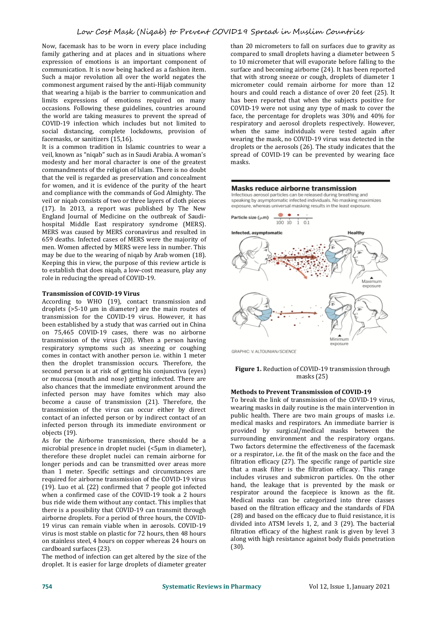Now, facemask has to be worn in every place including family gathering and at places and in situations where expression of emotions is an important component of communication. It is now being hacked as a fashion item. Such a major revolution all over the world negates the commonest argument raised by the anti-Hijab community that wearing a hijab is the barrier to communication and limits expressions of emotions required on many occasions. Following these guidelines, countries around the world are taking measures to prevent the spread of COVID-19 infection which includes but not limited to respiratory and aerosol droplets respectively. However, social distancing, complete lockdowns, provision of when the same individuals were tested again after social distancing, complete lockdowns, provision of facemasks, or sanitizers (15,16).

It is a common tradition in Islamic countries to wear a veil, known as "niqab" such as in Saudi Arabia. A woman's modesty and her moral character is one of the greatest commandments of the religion of Islam. There is no doubt that the veil is regarded as preservation and concealment for women, and it is evidence of the purity of the heart **Masks reduce airborne transmission** and compliance with the commands of God Almighty. The<br>veil or nigab consists of two or three layers of cloth pieces<br>speaking by asymptomatic infected individuals. No masking maximizes veil or niqab consists of two or three layers of cloth pieces<br>(17) In 2012, a report time published by The New exposure, whereas universal masking results in the least exposure. (17). In 2013, a report was published by The New England Journal of Medicine on the outbreak of Saudi-<br>
Particle size ( $\mu$ m) hospital Middle East respiratory syndrome (MERS).<br>MERS was caused by MERS coronavirus and resulted in **Infected, asymptomatic** MERS was caused by MERS coronavirus and resulted in 659 deaths. Infected cases of MERS were the majority of men. Women affected by MERS were less in number. This may be due to the wearing of niqab by Arab women (18). Keeping this in view, the purpose of this review article is to establish that does niqab, a low-cost measure, play any role in reducing the spread of COVID-19.

#### **Transmission of COVID-19 Virus**

According to WHO (19), contact transmission and droplets (>5-10 μm in diameter) are the main routes of transmission for the COVID-19 virus. However, it has been established by a study that was carried out in China on 75,465 COVID-19 cases, there was no airborne transmission of the virus (20). When a person having respiratory symptoms such as sneezing or coughing **STAPHIC: V. ALTOUNIAN/SCIENCE** comes in contact with another person i.e. within 1 meter then the droplet transmission occurs. Therefore, the second person is at risk of getting his conjunctiva (eyes) or mucosa (mouth and nose) getting infected. There are also chances that the immediate environment around the infected person may have fomites which may also become a cause of transmission (21). Therefore, the transmission of the virus can occur either by direct contact of an infected person or by indirect contact of an infected person through its immediate environment or objects (19).

As for the Airborne transmission, there should be a microbial presence in droplet nuclei (<5μm in diameter), therefore these droplet nuclei can remain airborne for longer periods and can be transmitted over areas more than 1 meter. Specific settings and circumstances are required for airborne transmission of the COVID-19 virus (19). Luo et al. (22) confirmed that 7 people got infected when a confirmed case of the COVID-19 took a 2 hours bus ride wide them without any contact. This implies that there is a possibility that COVID-19 can transmit through airborne droplets. For a period of three hours, the COVID- 19 virus can remain viable when in aerosols. COVID-19 virus is most stable on plastic for 72 hours, then 48 hours on stainless steel, 4 hours on copper whereas 24 hours on cardboard surfaces (23).

The method of infection can get altered by the size of the droplet. It is easier for large droplets of diameter greater

than 20 micrometers to fall on surfaces due to gravity as compared to small droplets having a diameter between 5 to 10 micrometer that will evaporate before falling to the surface and becoming airborne (24). It has been reported that with strong sneeze or cough, droplets of diameter 1 micrometer could remain airborne for more than 12 hours and could reach a distance of over 20 feet (25). It has been reported that when the subjects positive for COVID-19 were not using any type of mask to cover the face, the percentage for droplets was 30% and 40% for respiratory and aerosol droplets respectively. However, wearing the mask, no COVID-19 virus was detected in the droplets or the aerosols (26). The study indicates that the spread of COVID-19 can be prevented by wearing face masks.



#### **Figure 1.** Reduction of COVID-19 transmission through masks (25)

#### **Methods to PreventTransmission of COVID-19**

To break the link of transmission of the COVID-19 virus, wearing masks in daily routine is the main intervention in public health. There are two main groups of masks i.e. medical masks and respirators. An immediate barrier is provided by surgical/medical masks between the surrounding environment and the respiratory organs. Two factors determine the effectiveness of the facemask or a respirator, i.e. the fit of the mask on the face and the filtration efficacy (27). The specific range of particle size that a mask filter is the filtration efficacy. This range includes viruses and submicron particles. On the other hand, the leakage that is prevented by the mask or respirator around the facepiece is known as the fit. Medical masks can be categorized into three classes based on the filtration efficacy and the standards of FDA (28) and based on the efficacy due to fluid resistance, it is divided into ATSM levels 1, 2, and 3 (29). The bacterial filtration efficacy of the highest rank is given by level 3 along with high resistance against body fluids penetration (30).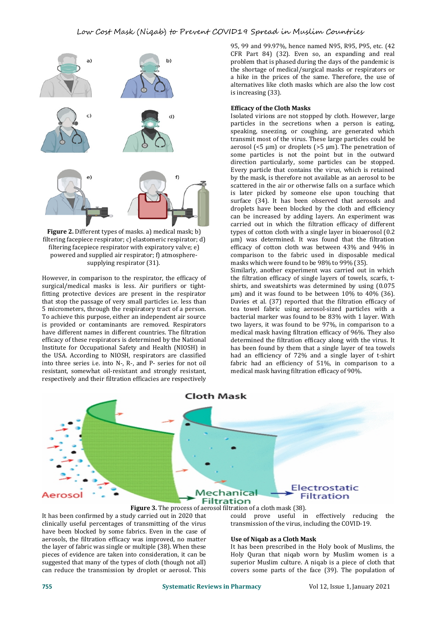

**Figure 2.** Different types of masks. a) medical mask; b) filtering facepiece respirator; c) elastomeric respirator; d) filtering facepiece respirator with expiratory valve; e) powered and supplied air respirator; f) atmosphere supplying respirator (31).

However, in comparison to the respirator, the efficacy of surgical/medical masks is less. Air purifiers or tightfitting protective devices are present in the respirator that stop the passage of very small particles i.e. less than Davies et al. (37) reported that the filtration efficacy of 5 micrometers, through the respiratory tract of a person. the teat towel fabric using aerosol-sized p 5 micrometers, through the respiratory tract of a person. To achieve this purpose, either an independent air source is provided or contaminants are removed. Respirators have different names in different countries. The filtration efficacy of these respirators is determined by the National Institute for Occupational Safety and Health (NIOSH) in the USA. According to NIOSH, respirators are classified into three series i.e. into N-, R-, and P- series for not oil resistant, somewhat oil-resistant and strongly resistant, respectively and their filtration efficacies are respectively

95, 99 and 99.97%, hence named N95, R95, P95, etc. (42 CFR Part 84) (32). Even so, an expanding and real problem that is phased during the days of the pandemic is the shortage of medical/surgical masks or respirators or a hike in the prices of the same. Therefore, the use of alternatives like cloth masks which are also the low cost is increasing (33).

#### **Efficacy of the Cloth Masks**

Isolated virions are not stopped by cloth. However, large particles in the secretions when a person is eating, speaking, sneezing, or coughing, are generated which transmit most of the virus. These large particles could be aerosol ( $5 \mu m$ ) or droplets ( $>5 \mu m$ ). The penetration of some particles is not the point but in the outward direction particularly, some particles can be stopped. Every particle that contains the virus, which is retained by the mask, is therefore not available as an aerosol to be scattered in the air or otherwise falls on a surface which is later picked by someone else upon touching that surface (34). It has been observed that aerosols and droplets have been blocked by the cloth and efficiency can be increased by adding layers. An experiment was carried out in which the filtration efficacy of different types of cotton cloth with a single layer in bioaerosol (0.2 μm) was determined. It was found that the filtration efficacy of cotton cloth was between 43% and 94% in comparison to the fabric used in disposable medical masks which were found to be 98% to 99% (35).

Similarly, another experiment was carried out in which the filtration efficacy of single layers of towels, scarfs, t shirts, and sweatshirts was determined by using (0.075 μm) and it was found to be between 10% to 40% (36). Davies et al. (37) reported that the filtration efficacy of bacterial marker was found to be 83% with 1 layer. With two layers, it was found to be 97%, in comparison to a medical mask having filtration efficacy of 96%. They also determined the filtration efficacy along with the virus. It has been found by them that a single layer of tea towels had an efficiency of 72% and a single layer of t-shirt fabric had an efficiency of 51%, in comparison to a medical mask having filtration efficacy of 90%.



#### **Figure 3.** The process of aerosol filtration of a cloth mask (38).

It has been confirmed by a study carried out in 2020 that clinically useful percentages of transmitting of the virus<br>have been blocked by some fabrics. Even in the case of aerosols, the filtration efficacy was improved, no matter the layer of fabric was single or multiple (38). When these pieces of evidence are taken into consideration, it can be suggested that many of the types of cloth (though not all) can reduce the transmission by droplet or aerosol. This

could prove useful in effectively reducing the transmission of the virus, including the COVID-19.

#### **Use of Niqab as a Cloth Mask**

It has been prescribed in the Holy book of Muslims, the Holy Quran that niqab worn by Muslim women is a superior Muslim culture. A niqab is a piece of cloth that covers some parts of the face (39). The population of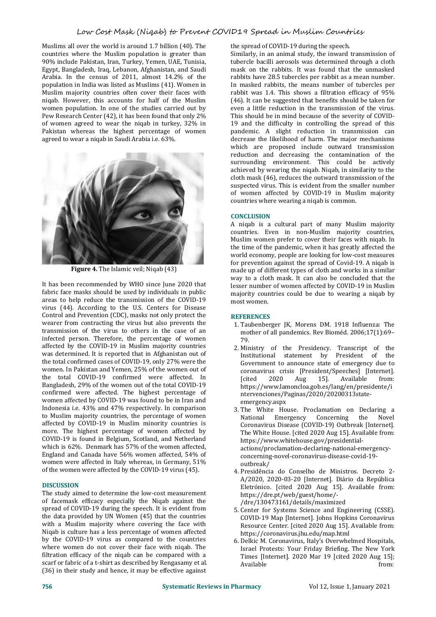Muslims all over the world is around 1.7 billion (40). The countries where the Muslim population is greater than 90% include Pakistan, Iran, Turkey, Yemen, UAE, Tunisia, Egypt, Bangladesh, Iraq, Lebanon, Afghanistan, and Saudi Arabia. In the census of 2011, almost 14.2% of the population in India was listed as Muslims (41). Women in Muslim majority countries often cover their faces with niqab. However, this accounts for half of the Muslim women population. In one of the studies carried out by Pew Research Center (42), it has been found that only 2% of women agreed to wear the niqab in turkey, 32% in Pakistan whereas the highest percentage of women agreed to wear a niqab in Saudi Arabia i.e. 63%.



**Figure 4.** The Islamic veil; Niqab (43)

It has been recommended by WHO since June 2020 that fabric face masks should be used by individuals in public areas to help reduce the transmission of the COVID-19 virus (44). According to the U.S. Centers for Disease Control and Prevention (CDC), masks notonly protect the wearer from contracting the virus but also prevents the transmission of the virus to others in the case of an infected person. Therefore, the percentage of women 79 affected by the COVID-19 in Muslim majority countries was determined. It is reported that in Afghanistan out of the total confirmed cases of COVID-19, only 27% were the women. In Pakistan and Yemen, 25% of the women out of the total COVID-19 confirmed were affected. In Bangladesh, 29% of the women out of the total COVID-19 confirmed were affected. The highest percentage of women affected by COVID-19 was found to be in Iran and Indonesia i.e. 43% and 47% respectively. In comparison to Muslim majority countries, the percentage of women affected by COVID-19 in Muslim minority countries is more. The highest percentage of women affected by COVID-19 is found in Belgium, Scotland, and Netherland which is 62%. Denmark has 57% of the women affected, England and Canada have 56% women affected, 54% of women were affected in Italy whereas, in Germany,  $51\%$ of the women were affected by the COVID-19 virus(45).

#### **DISCUSSION**

The study aimed to determine the low-cost measurement of facemask efficacy especially the Niqab against the spread of COVID-19 during the speech. It is evident from the data provided by UN Women (45) that the countries with a Muslim majority where covering the face with Niqab is culture has a less percentage of women affected by the COVID-19 virus as compared to the countries where women do not cover their face with niqab. The filtration efficacy of the niqab can be compared with a scarf or fabric of a t-shirt as described by Rengasamy et al. (36) in their study and hence, it may be effective against

the spread of COVID-19 during the speech.

Similarly, in an animal study, the inward transmission of tubercle bacilli aerosols was determined through a cloth mask on the rabbits. It was found that the unmasked rabbits have 28.5 tubercles per rabbit as a mean number. In masked rabbits, the means number of tubercles per rabbit was 1.4. This shows a filtration efficacy of 95% (46). It can be suggested that benefits should be taken for even a little reduction in the transmission of the virus. This should be in mind because of the severity of COVID- 19 and the difficulty in controlling the spread of this pandemic. A slight reduction in transmission can decrease the likelihood of harm. The major mechanisms which are proposed include outward transmission reduction and decreasing the contamination of the surrounding environment. This could be actively achieved by wearing the niqab. Niqab, in similarity to the cloth mask (46), reduces the outward transmission of the suspected virus. This is evident from the smaller number of women affected by COVID-19 in Muslim majority countries where wearing a niqab is common.

#### **CONCLUSION**

A niqab is a cultural part of many Muslim majority countries. Even in non-Muslim majority countries, Muslim women prefer to cover their faces with niqab. In the time of the pandemic, when it has greatly affected the world economy, people are looking for low-cost measures for prevention against the spread of Covid-19. A niqab is made up of different types of cloth and works in a similar way to a cloth mask. It can also be concluded that the lesser number of women affected by COVID-19 in Muslim majority countries could be due to wearing a niqab by most women.

#### **REFERENCES**

- 1. Taubenberger JK, Morens DM. 1918 Influenza: The mother of all pandemics. Rev Bioméd. 2006;17(1):69– 79.
- 2. Ministry of the Presidency. Transcript of the Institutional statement by President of the Government to announce state of emergency due to coronavirus crisis [President/Speeches] [Internet]. [cited 2020 Aug 15]. Available from: https://www.lamoncloa.gob.es/lang/en/presidente/i ntervenciones/Paginas/2020/20200313state emergency.aspx
- 3. The White House. Proclamation on Declaring a Emergency Concerning the Novel Coronavirus Disease (COVID-19) Outbreak [Internet]. The White House. [cited 2020 Aug 15]. Available from: https://www.whitehouse.gov/presidential actions/proclamation-declaring-national-emergency concerning-novel-coronavirus-disease-covid-19 outbreak/
- 4. Presidência do Conselho de Ministros. Decreto 2- A/2020, 2020-03-20 [Internet]. Diário da República Eletrónico. [cited 2020 Aug 15]. Available from: https://dre.pt/web/guest/home/- /dre/130473161/details/maximized
- 5. Center for Systems Science and Engineering (CSSE). COVID-19 Map [Internet]. Johns Hopkins Coronavirus Resource Center. [cited 2020 Aug 15]. Available from: https://coronavirus.jhu.edu/map.html
- 6. Delkic M. Coronavirus, Italy's Overwhelmed Hospitals, Israel Protests: Your Friday Briefing. The New York Times [Internet]. 2020 Mar 19 [cited 2020 Aug 15]; Available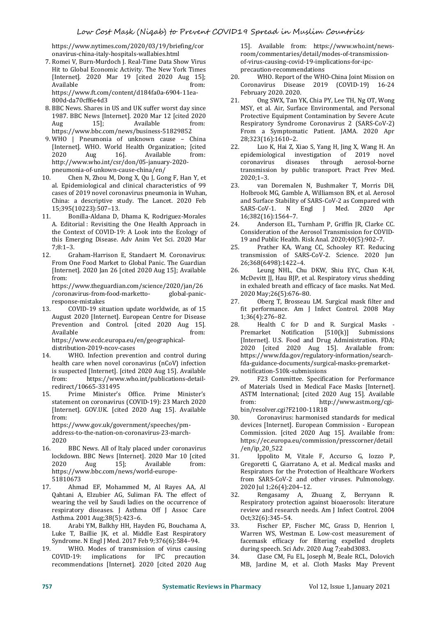https://www.nytimes.com/2020/03/19/briefing/cor onavirus-china-italy-hospitals-wallabies.html

- 7. Romei V, Burn-Murdoch J. Real-Time Data Show Virus Hit to Global Economic Activity. The New York Times<br>[Internet]. 2020 Mar 19 [cited 2020 Aug 15]: 20. [Internet]. 2020 Mar 19 [cited 2020 Aug 15]; Available from: https://www.ft.com/content/d184fa0a-6904-11ea- 800d-da70cff6e4d3
- 8. BBC News. Shares in US and UK suffer worst day since 1987. BBC News [Internet]. 2020 Mar 12 [cited 2020 Aug 15]; Available from: https://www.bbc.com/news/business-51829852
- 9. WHO | Pneumonia of unknown cause China<br>[Internet]. WHO. World Health Organization: [cited 22.] [Internet]. WHO. World Health Organization; [cited 2020 Aug 16]. Available from: 2020 Aug 16]. Available from: http://www.who.int/csr/don/05-january-2020 pneumonia-of-unkown-cause-china/en/
- 10. Chen N, Zhou M, Dong X, Qu J, Gong F, Han Y, et al. Epidemiological and clinical characteristics of 99 23. al. Epidemiological and clinical characteristics of 99 cases of 2019 novel coronavirus pneumonia in Wuhan, China: a descriptive study. The Lancet. 2020 Feb 15;395(10223):507-13.<br>11. Bonilla-Aldana D.
- Bonilla-Aldana D, Dhama K, Rodriguez-Morales<br>
itorial: Revisiting the One Health Approach in 24. A. Editorial : Revisiting the One Health Approach in the Context of COVID-19: A Look into the Ecology of this Emerging Disease. Adv Anim Vet Sci. 2020 Mar  $7.8.1 - 3$
- 12. Graham-Harrison E, Standaert M. Coronavirus: From One Food Market to Global Panic. The Guardian<br>
Internetl. 2020 Ian 26 [cited 2020 Aug 15]; Available 26. [Internet]. 2020 Jan 26 [cited 2020 Aug 15]; Available from:

https://www.theguardian.com/science/2020/jan/26 /coronavirus-from-food-marketto- global-panic response-mistakes

13. COVID-19 situation update worldwide, as of 15 August 2020 [Internet]. European Centre for Disease<br>Prevention and Control. [cited 2020 Aug 15]. 28. Prevention and Control. [cited 2020 Aug 15]. Available from: https://www.ecdc.europa.eu/en/geographical-

distribution-2019-ncov-cases

- 14. WHO. Infection prevention and control during health care when novel coronavirus (nCoV) infection is suspected [Internet]. [cited 2020 Aug 15]. Available https://www.who.int/publications-detail-
- redirect/10665-331495<br>15. Prime Minister's 15. Prime Minister's Office. Prime Minister's statement on coronavirus (COVID-19): 23 March 2020 [Internet]. GOV.UK. [cited 2020 Aug 15]. Available from:

https://www.gov.uk/government/speeches/pm address-to-the-nation-on-coronavirus-23-march- 2020

- 16. BBC News. All of Italy placed under coronavirus lockdown. BBC News [Internet]. 2020 Mar 10 [cited 2020 Aug 15]; Available from: https://www.bbc.com/news/world-europe- 51810673
- 17. Ahmad EF, Mohammed M, Al Rayes AA, Al<br>Oahtani A. Elzubier AG, Suliman FA. The effect of 32. Qahtani A,Elzubier AG, Suliman FA. The effect of wearing the veil by Saudi ladies on the occurrence of respiratory diseases. J Asthma Off J Assoc Care Asthma. 2001 Aug;38(5):423–6.
- 18. Arabi YM, Balkhy HH, Hayden FG, Bouchama A, Luke T, Baillie JK, et al. Middle East Respiratory Syndrome. N Engl J Med. 2017 Feb 9;376(6):584–94.
- 19. WHO. Modes of transmission of virus causing<br>COVID-19: implications for IPC precaution 34. implications for IPC precaution recommendations [Internet]. 2020 [cited 2020 Aug

15]. Available from: https://www.who.int/news room/commentaries/detail/modes-of-transmission of-virus-causing-covid-19-implications-for-ipc precaution-recommendations

- WHO. Report of the WHO-China Joint Mission on Coronavirus Disease 2019 (COVID-19) 16-24 February 2020. 2020.
- 21. Ong SWX, Tan YK, Chia PY, Lee TH, Ng OT, Wong MSY, et al. Air, Surface Environmental, and Personal Protective Equipment Contamination by Severe Acute Respiratory Syndrome Coronavirus 2 (SARS-CoV-2) From a Symptomatic Patient. JAMA. 2020 Apr 28;323(16):1610–2.
- Luo K, Hai Z, Xiao S, Yang H, Jing X, Wang H. An<br>miological investigation of 2019 novel epidemiological investigation of 2019<br>coronavirus diseases through aeroso aerosol-borne transmission by public transport. Pract Prev Med. 2020;1–3.
- 23. van Doremalen N, Bushmaker T, Morris DH, Holbrook MG, Gamble A, Williamson BN, et al. Aerosol and Surface Stability of SARS-CoV-2 as Compared with<br>SARS-CoV-1. N Engl I Med. 2020 Apr SARS-CoV-1. N Engl J Med. 16;382(16):1564–7.
- 24. Anderson EL, Turnham P, Griffin JR, Clarke CC. Consideration of the Aerosol Transmission for COVID- 19 and Public Health. Risk Anal. 2020;40(5):902–7.
- 25. Prather KA, Wang CC, Schooley RT. Reducing transmission of SARS-CoV-2. Science. 2020 Jun 26;368(6498):1422–4.
- Leung NHL, Chu DKW, Shiu EYC, Chan K-H, McDevitt JJ, Hau BJP, et al. Respiratory virus shedding in exhaled breath and efficacy of face masks. Nat Med. 2020 May;26(5):676–80.
- 27. Oberg T, Brosseau LM. Surgical mask filter and fit performance. Am J Infect Control. 2008 May 1;36(4):276–82.
- Health C for D and R. Surgical Masks -<br>arket Notification  $[510(k)]$  Submissions Notification  $[510(k)]$ [Internet]. U.S. Food and Drug Administration. FDA; 2020 [cited 2020 Aug 15]. Available from: https://www.fda.gov/regulatory-information/searchfda-guidance-documents/surgical-masks-premarket notification-510k-submissions
- 29. F23 Committee. Specification for Performance of Materials Used in Medical Face Masks [Internet]. ASTM International; [cited 2020 Aug 15]. Available http://www.astm.org/cgibin/resolver.cgi?F2100-11R18
- 30. Coronavirus: harmonised standards for medical devices [Internet]. European Commission - European Commission. [cited 2020 Aug 15]. Available from: https://ec.europa.eu/commission/presscorner/detail /en/ip\_20\_522
- 31. Ippolito M, Vitale F, Accurso G, Iozzo P, Gregoretti C, Giarratano A, et al. Medical masks and Respirators for the Protection of Healthcare Workers from SARS-CoV-2 and other viruses. Pulmonology. 2020 Jul 1;26(4):204–12.
- 32. Rengasamy A, Zhuang Z, Berryann R. Respiratory protection against bioaerosols: literature review and research needs. Am J Infect Control. 2004 Oct;32(6):345–54.
- Fischer EP, Fischer MC, Grass D, Henrion I, Warren WS, Westman E. Low-cost measurement of facemask efficacy for filtering expelled droplets during speech. Sci Adv. 2020 Aug 7;eabd3083.
- Clase CM, Fu EL, Joseph M, Beale RCL, Dolovich MB, Jardine M, et al. Cloth Masks May Prevent